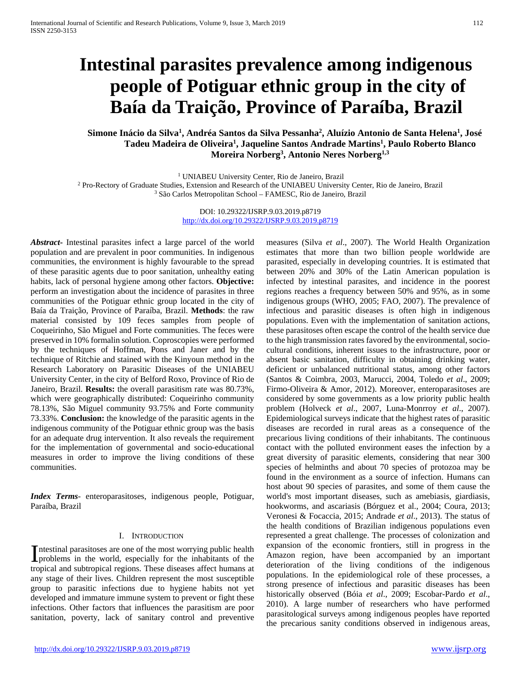# **Intestinal parasites prevalence among indigenous people of Potiguar ethnic group in the city of Baía da Traição, Province of Paraíba, Brazil**

## **Simone Inácio da Silva1 , Andréa Santos da Silva Pessanha2 , Aluízio Antonio de Santa Helena1 , José Tadeu Madeira de Oliveira1 , Jaqueline Santos Andrade Martins1 , Paulo Roberto Blanco Moreira Norberg3 , Antonio Neres Norberg1,3**

<sup>1</sup> UNIABEU University Center, Rio de Janeiro, Brazil

<sup>2</sup> Pro-Rectory of Graduate Studies, Extension and Research of the UNIABEU University Center, Rio de Janeiro, Brazil <sup>3</sup> São Carlos Metropolitan School – FAMESC, Rio de Janeiro, Brazil

> DOI: 10.29322/IJSRP.9.03.2019.p8719 <http://dx.doi.org/10.29322/IJSRP.9.03.2019.p8719>

*Abstract***-** Intestinal parasites infect a large parcel of the world population and are prevalent in poor communities. In indigenous communities, the environment is highly favourable to the spread of these parasitic agents due to poor sanitation, unhealthy eating habits, lack of personal hygiene among other factors. **Objective:**  perform an investigation about the incidence of parasites in three communities of the Potiguar ethnic group located in the city of Baía da Traição, Province of Paraíba, Brazil. **Methods**: the raw material consisted by 109 feces samples from people of Coqueirinho, São Miguel and Forte communities. The feces were preserved in 10% formalin solution. Coproscopies were performed by the techniques of Hoffman, Pons and Janer and by the technique of Ritchie and stained with the Kinyoun method in the Research Laboratory on Parasitic Diseases of the UNIABEU University Center, in the city of Belford Roxo, Province of Rio de Janeiro, Brazil. **Results:** the overall parasitism rate was 80.73%, which were geographically distributed: Coqueirinho community 78.13%, São Miguel community 93.75% and Forte community 73.33%. **Conclusion:** the knowledge of the parasitic agents in the indigenous community of the Potiguar ethnic group was the basis for an adequate drug intervention. It also reveals the requirement for the implementation of governmental and socio-educational measures in order to improve the living conditions of these communities.

*Index Terms*- enteroparasitoses, indigenous people, Potiguar, Paraíba, Brazil

#### I. INTRODUCTION

ntestinal parasitoses are one of the most worrying public health Intestinal parasitoses are one of the most worrying public health<br>problems in the world, especially for the inhabitants of the tropical and subtropical regions. These diseases affect humans at any stage of their lives. Children represent the most susceptible group to parasitic infections due to hygiene habits not yet developed and immature immune system to prevent or fight these infections. Other factors that influences the parasitism are poor sanitation, poverty, lack of sanitary control and preventive

measures (Silva *et al*., 2007). The World Health Organization estimates that more than two billion people worldwide are parasited, especially in developing countries. It is estimated that between 20% and 30% of the Latin American population is infected by intestinal parasites, and incidence in the poorest regions reaches a frequency between 50% and 95%, as in some indigenous groups (WHO, 2005; FAO, 2007). The prevalence of infectious and parasitic diseases is often high in indigenous populations. Even with the implementation of sanitation actions, these parasitoses often escape the control of the health service due to the high transmission rates favored by the environmental, sociocultural conditions, inherent issues to the infrastructure, poor or absent basic sanitation, difficulty in obtaining drinking water, deficient or unbalanced nutritional status, among other factors (Santos & Coimbra, 2003, Marucci, 2004, Toledo *et al*., 2009; Firmo-Oliveira & Amor, 2012). Moreover, enteroparasitoses are considered by some governments as a low priority public health problem (Holveck *et al*., 2007, Luna-Monrroy *et al*., 2007). Epidemiological surveys indicate that the highest rates of parasitic diseases are recorded in rural areas as a consequence of the precarious living conditions of their inhabitants. The continuous contact with the polluted environment eases the infection by a great diversity of parasitic elements, considering that near 300 species of helminths and about 70 species of protozoa may be found in the environment as a source of infection. Humans can host about 90 species of parasites, and some of them cause the world's most important diseases, such as amebiasis, giardiasis, hookworms, and ascariasis (Bórguez et al., 2004; Coura, 2013; Veronesi & Focaccia, 2015; Andrade *et al*., 2013). The status of the health conditions of Brazilian indigenous populations even represented a great challenge. The processes of colonization and expansion of the economic frontiers, still in progress in the Amazon region, have been accompanied by an important deterioration of the living conditions of the indigenous populations. In the epidemiological role of these processes, a strong presence of infectious and parasitic diseases has been historically observed (Bóia *et al*., 2009; Escobar-Pardo *et al*., 2010). A large number of researchers who have performed parasitological surveys among indigenous peoples have reported the precarious sanity conditions observed in indigenous areas,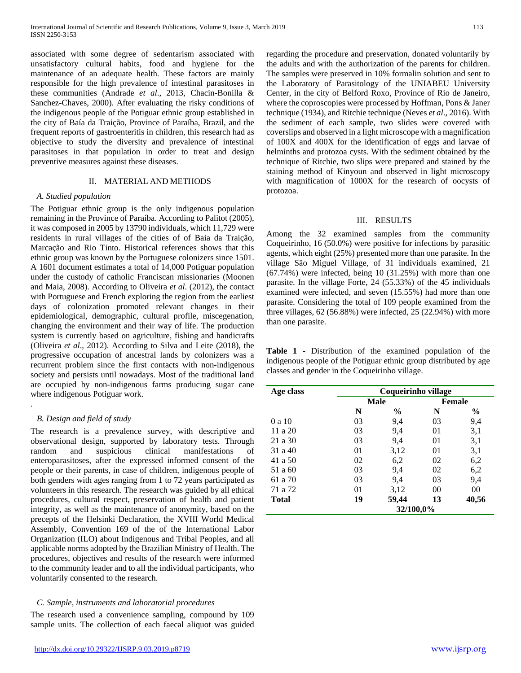associated with some degree of sedentarism associated with unsatisfactory cultural habits, food and hygiene for the maintenance of an adequate health. These factors are mainly responsible for the high prevalence of intestinal parasitoses in these communities (Andrade *et al*., 2013, Chacin-Bonilla & Sanchez-Chaves, 2000). After evaluating the risky conditions of the indigenous people of the Potiguar ethnic group established in the city of Baía da Traição, Province of Paraíba, Brazil, and the frequent reports of gastroenteritis in children, this research had as objective to study the diversity and prevalence of intestinal parasitoses in that population in order to treat and design preventive measures against these diseases.

#### II. MATERIAL AND METHODS

### *A. Studied population*

The Potiguar ethnic group is the only indigenous population remaining in the Province of Paraíba. According to Palitot (2005), it was composed in 2005 by 13790 individuals, which 11,729 were residents in rural villages of the cities of of Baia da Traição, Marcação and Rio Tinto. Historical references shows that this ethnic group was known by the Portuguese colonizers since 1501. A 1601 document estimates a total of 14,000 Potiguar population under the custody of catholic Franciscan missionaries (Moonen and Maia, 2008). According to Oliveira *et al*. (2012), the contact with Portuguese and French exploring the region from the earliest days of colonization promoted relevant changes in their epidemiological, demographic, cultural profile, miscegenation, changing the environment and their way of life. The production system is currently based on agriculture, fishing and handicrafts (Oliveira *et al*., 2012). According to Silva and Leite (2018), the progressive occupation of ancestral lands by colonizers was a recurrent problem since the first contacts with non-indigenous society and persists until nowadays. Most of the traditional land are occupied by non-indigenous farms producing sugar cane where indigenous Potiguar work.

## *B. Design and field of study*

.

The research is a prevalence survey, with descriptive and observational design, supported by laboratory tests. Through random and suspicious clinical manifestations of enteroparasitoses, after the expressed informed consent of the people or their parents, in case of children, indigenous people of both genders with ages ranging from 1 to 72 years participated as volunteers in this research. The research was guided by all ethical procedures, cultural respect, preservation of health and patient integrity, as well as the maintenance of anonymity, based on the precepts of the Helsinki Declaration, the XVIII World Medical Assembly, Convention 169 of the of the International Labor Organization (ILO) about Indigenous and Tribal Peoples, and all applicable norms adopted by the Brazilian Ministry of Health. The procedures, objectives and results of the research were informed to the community leader and to all the individual participants, who voluntarily consented to the research.

## *C. Sample, instruments and laboratorial procedures*

The research used a convenience sampling, compound by 109 sample units. The collection of each faecal aliquot was guided regarding the procedure and preservation, donated voluntarily by the adults and with the authorization of the parents for children. The samples were preserved in 10% formalin solution and sent to the Laboratory of Parasitology of the UNIABEU University Center, in the city of Belford Roxo, Province of Rio de Janeiro, where the coproscopies were processed by Hoffman, Pons & Janer technique (1934), and Ritchie technique (Neves *et al*., 2016). With the sediment of each sample, two slides were covered with coverslips and observed in a light microscope with a magnification of 100X and 400X for the identification of eggs and larvae of helminths and protozoa cysts. With the sediment obtained by the technique of Ritchie, two slips were prepared and stained by the staining method of Kinyoun and observed in light microscopy with magnification of 1000X for the research of oocysts of protozoa.

## III. RESULTS

Among the 32 examined samples from the community Coqueirinho, 16 (50.0%) were positive for infections by parasitic agents, which eight (25%) presented more than one parasite. In the village São Miguel Village, of 31 individuals examined, 21 (67.74%) were infected, being 10 (31.25%) with more than one parasite. In the village Forte, 24 (55.33%) of the 45 individuals examined were infected, and seven (15.55%) had more than one parasite. Considering the total of 109 people examined from the three villages, 62 (56.88%) were infected, 25 (22.94%) with more than one parasite.

**Table 1 -** Distribution of the examined population of the indigenous people of the Potiguar ethnic group distributed by age classes and gender in the Coqueirinho village.

| Age class | Coqueirinho village |               |    |               |
|-----------|---------------------|---------------|----|---------------|
|           |                     | Male          |    | <b>Female</b> |
|           | N                   | $\frac{6}{9}$ | N  | $\frac{6}{9}$ |
| 0 a 10    | 03                  | 9,4           | 03 | 9,4           |
| 11 a 20   | 03                  | 9,4           | 01 | 3,1           |
| 21 a 30   | 03                  | 9,4           | 01 | 3,1           |
| 31 a 40   | 01                  | 3,12          | 01 | 3,1           |
| 41 a 50   | 02                  | 6,2           | 02 | 6,2           |
| 51 a 60   | 03                  | 9,4           | 02 | 6,2           |
| 61 a 70   | 03                  | 9,4           | 03 | 9,4           |
| 71 a 72   | 01                  | 3,12          | 00 | 00            |
| Total     | 19                  | 59,44         | 13 | 40,56         |
|           | 32/100,0%           |               |    |               |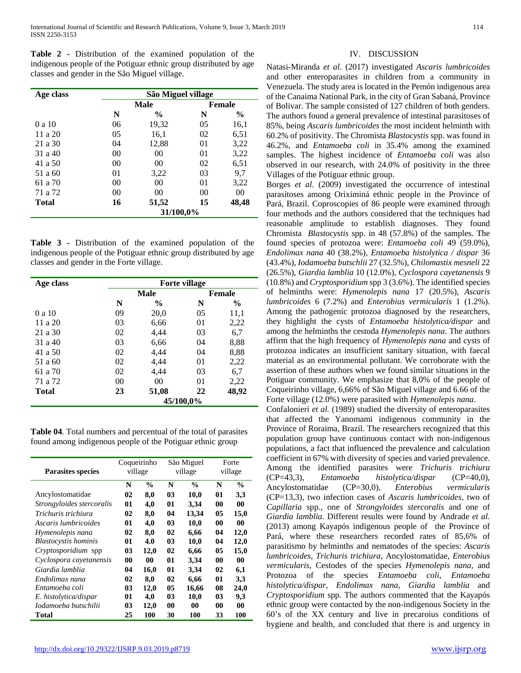**Table 2 -** Distribution of the examined population of the indigenous people of the Potiguar ethnic group distributed by age classes and gender in the São Miguel village.

| Age class    | São Miguel village |                |               |               |
|--------------|--------------------|----------------|---------------|---------------|
|              | Male               |                | <b>Female</b> |               |
|              | N                  | $\frac{0}{0}$  | N             | $\frac{6}{9}$ |
| 0 a 10       | 06                 | 19,32          | 05            | 16,1          |
| 11 a 20      | 05                 | 16,1           | 02            | 6,51          |
| 21 a 30      | 04                 | 12,88          | 01            | 3,22          |
| 31 a 40      | 00                 | 0 <sup>0</sup> | 01            | 3,22          |
| 41 a 50      | 00                 | 00             | 02            | 6,51          |
| 51 a 60      | 01                 | 3,22           | 03            | 9.7           |
| 61 a 70      | 00                 | 0 <sup>0</sup> | 01            | 3,22          |
| 71 a 72      | 00                 | 00             | 00            | 00            |
| <b>Total</b> | 16                 | 51,52          | 15            | 48,48         |
|              | 31/100,0%          |                |               |               |

**Table 3 -** Distribution of the examined population of the indigenous people of the Potiguar ethnic group distributed by age classes and gender in the Forte village.

| Age class    | <b>Forte village</b> |               |    |               |
|--------------|----------------------|---------------|----|---------------|
|              |                      | Male          |    | <b>Female</b> |
|              | N                    | $\frac{0}{0}$ | N  | $\frac{0}{0}$ |
| 0 a 10       | 09                   | 20,0          | 05 | 11,1          |
| 11a20        | 03                   | 6,66          | 01 | 2,22          |
| 21 a 30      | 02                   | 4,44          | 03 | 6,7           |
| 31 a 40      | 03                   | 6,66          | 04 | 8,88          |
| 41 a 50      | 02                   | 4,44          | 04 | 8,88          |
| 51 a 60      | 02                   | 4,44          | 01 | 2,22          |
| 61 a 70      | 02                   | 4,44          | 03 | 6,7           |
| 71 a 72      | 00                   | 00            | 01 | 2,22          |
| <b>Total</b> | 23                   | 51,08         | 22 | 48,92         |
|              | 45/100,0%            |               |    |               |

**Table 04**. Total numbers and percentual of the total of parasites found among indigenous people of the Potiguar ethnic group

| <b>Parasites species</b>    | Coqueirinho<br>village |               | São Miguel<br>village |               | Forte<br>village |               |
|-----------------------------|------------------------|---------------|-----------------------|---------------|------------------|---------------|
|                             | N                      | $\frac{0}{0}$ | N                     | $\frac{0}{0}$ | N                | $\frac{0}{0}$ |
| Ancylostomatidae            | 02                     | 8,0           | 03                    | <b>10,0</b>   | 01               | 3,3           |
| Strongyloides stercoralis   | 01                     | 4,0           | 01                    | 3,34          | $\bf{00}$        | 00            |
| Trichuris trichiura         | 02                     | 8,0           | 04                    | 13,34         | 05               | 15,0          |
| Ascaris lumbricoides        | 01                     | 4,0           | 03                    | 10,0          | 00               | 00            |
| Hymenolepis nana            | 02                     | 8.0           | 02                    | 6.66          | 04               | 12,0          |
| <b>Blastocystis</b> hominis | 01                     | 4.0           | 03                    | 10,0          | 04               | 12,0          |
| Cryptosporidium spp         | 03                     | 12,0          | 02                    | 6,66          | 05               | 15,0          |
| Cyclospora cayetanensis     | 00                     | 00            | 01                    | 3,34          | 00               | 00            |
| Giardia lamblia             | 04                     | 16,0          | 01                    | 3,34          | 02               | 6,1           |
| Endolimax nana              | 02                     | 8,0           | 02                    | 6.66          | 01               | 3,3           |
| Entamoeba coli              | 03                     | 12,0          | 05                    | 16,66         | 08               | 24,0          |
| E. histolytica/dispar       | 01                     | 4.0           | 03                    | 10.0          | 03               | 9,3           |
| Iodamoeba butschilii        | 03                     | 12,0          | 00                    | 00            | 00               | 00            |
| Total                       | 25                     | 100           | 30                    | 100           | 33               | 100           |

# IV. DISCUSSION

Natasi-Miranda *et al*. (2017) investigated *Ascaris lumbricoides* and other enteroparasites in children from a community in Venezuela. The study area is located in the Pemón indigenous area of the Canaima National Park, in the city of Gran Sabaná, Province of Bolivar. The sample consisted of 127 children of both genders. The authors found a general prevalence of intestinal parasitoses of 85%, being *Ascaris lumbricoides* the most incident helminth with 60.2% of positivity. The Chromista *Blastocystis* spp. was found in 46.2%, and *Entamoeba coli* in 35.4% among the examined samples. The highest incidence of *Entamoeba coli* was also observed in our research, with 24.0% of positivity in the three Villages of the Potiguar ethnic group.

Borges *et al*. (2009) investigated the occurrence of intestinal parasitoses among Oriximiná ethnic people in the Province of Pará, Brazil. Coproscopies of 86 people were examined through four methods and the authors considered that the techniques had reasonable amplitude to establish diagnoses. They found Chromista *Blastocystis* spp. in 48 (57.8%) of the samples. The found species of protozoa were: *Entamoeba coli* 49 (59.0%), *Endolimax nana* 40 (38.2%), *Entamoeba histolytica / dispar* 36 (43.4%), *Iodamoeba butschlii* 27 (32.5%), *Chilomastix mesneli* 22 (26.5%), *Giardia lamblia* 10 (12.0%), *Cyclospora cayetanensis* 9 (10.8%) and *Cryptosporidium* spp 3 (3.6%). The identified species of helminths were: *Hymenolepis nana* 17 (20.5%), *Ascaris lumbricoides* 6 (7.2%) and *Enterobius vermicularis* 1 (1.2%). Among the pathogenic protozoa diagnosed by the researchers, they highlight the cysts of *Entamoeba histolytica/dispar* and among the helminths the cestoda *Hymenolepis nana*. The authors affirm that the high frequency of *Hymenolepis nana* and cysts of protozoa indicates an insufficient sanitary situation, with faecal material as an environmental pollutant. We corroborate with the assertion of these authors when we found similar situations in the Potiguar community. We emphasize that 8,0% of the people of Coqueirinho village, 6,66% of São Miguel village and 6.66 of the Forte village (12.0%) were parasited with *Hymenolepis nana*.

Confalonieri *et al.* (1989) studied the diversity of enteroparasites that affected the Yanomami indigenous community in the Province of Roraima, Brazil. The researchers recognized that this population group have continuous contact with non-indigenous populations, a fact that influenced the prevalence and calculation coefficient in 67% with diversity of species and varied prevalence. Among the identified parasites were *Trichuris trichiura* (CP=43,3), *Entamoeba histolytica/dispar* (CP=40,0), Ancylostomatidae (CP=30,0), *Enterobius vermicularis* (CP=13,3), two infection cases of *Ascaris lumbricoides*, two of *Capillaria* spp., one of *Strongyloides stercoralis* and one of *Giardia lamblia*. Different results were found by Andrade *et al.* (2013) among Kayapós indigenous people of the Province of Pará, where these researchers recorded rates of 85,6% of parasitismo by helminths and nematodes of the species: *Ascaris lumbricoides*, *Trichuris trichiura*, Ancylostomatidae, *Enterobius vermicularis*, Cestodes of the species *Hymenolepis nana,* and Protozoa of the species *Entamoeba coli*, *Entamoeba histolytica/dispar*, *Endolimax nana*, *Giardia lamblia* and *Cryptosporidium* spp. The authors commented that the Kayapós ethnic group were contacted by the non-indigenous Society in the 60's of the XX century and live in precaroius conditions of hygiene and health, and concluded that there is and urgency in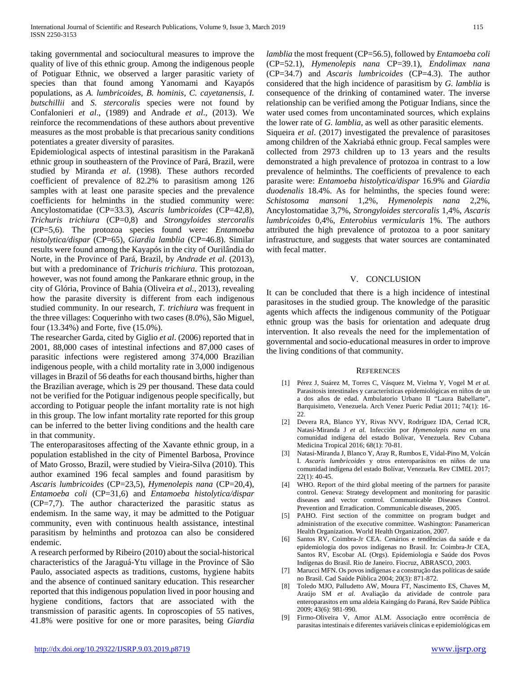taking governmental and sociocultural measures to improve the quality of live of this ethnic group. Among the indigenous people of Potiguar Ethnic, we observed a larger parasitic variety of species than that found among Yanomami and Kayapós populations, as *A. lumbricoides, B. hominis, C. cayetanensis, I. butschillii* and *S. stercoralis* species were not found by Confalonieri *et al*., (1989) and Andrade *et al*., (2013). We reinforce the recommendations of these authors about preventive measures as the most probable is that precarious sanity conditions potentiates a greater diversity of parasites.

Epidemiological aspects of intestinal parasitism in the Parakanã ethnic group in southeastern of the Province of Pará, Brazil, were studied by Miranda *et al*. (1998). These authors recorded coefficient of prevalence of 82.2% to parasitism among 126 samples with at least one parasite species and the prevalence coefficients for helminths in the studied community were: Ancylostomatidae (CP=33.3), *Ascaris lumbricoides* (CP=42,8), *Trichuris trichiura* (CP=0,8) and *Strongyloides stercoralis* (CP=5,6). The protozoa species found were: *Entamoeba histolytica/dispar* (CP=65), *Giardia lamblia* (CP=46.8). Similar results were found among the Kayapós in the city of Ourilândia do Norte, in the Province of Pará, Brazil, by *Andrade et al*. (2013), but with a predominance of *Trichuris trichiura*. This protozoan, however, was not found among the Pankarare ethnic group, in the city of Glória, Province of Bahia (Oliveira *et al.*, 2013), revealing how the parasite diversity is different from each indigenous studied community. In our research, *T. trichiura* was frequent in the three villages: Coquerinho with two cases (8.0%), São Miguel, four (13.34%) and Forte, five (15.0%).

The researcher Garda, cited by Giglio *et al*. (2006) reported that in 2001, 88,000 cases of intestinal infections and 87,000 cases of parasitic infections were registered among 374,000 Brazilian indigenous people, with a child mortality rate in 3,000 indigenous villages in Brazil of 56 deaths for each thousand births, higher than the Brazilian average, which is 29 per thousand. These data could not be verified for the Potiguar indigenous people specifically, but according to Potiguar people the infant mortality rate is not high in this group. The low infant mortality rate reported for this group can be inferred to the better living conditions and the health care in that community.

The enteroparasitoses affecting of the Xavante ethnic group, in a population established in the city of Pimentel Barbosa, Province of Mato Grosso, Brazil, were studied by Vieira-Silva (2010). This author examined 196 fecal samples and found parasitism by *Ascaris lumbricoides* (CP=23,5), *Hymenolepis nana* (CP=20,4), *Entamoeba coli* (CP=31,6) and *Entamoeba histolytica/dispar*  (CP=7,7). The author characterized the parasitic status as endemism. In the same way, it may be admitted to the Potiguar community, even with continuous health assistance, intestinal parasitism by helminths and protozoa can also be considered endemic.

A research performed by Ribeiro (2010) about the social-historical characteristics of the Jaraguá-Ytu village in the Province of São Paulo, associated aspects as traditions, customs, hygiene habits and the absence of continued sanitary education. This researcher reported that this indigenous population lived in poor housing and hygiene conditions, factors that are associated with the transmission of parasitic agents. In coproscopies of 55 natives, 41.8% were positive for one or more parasites, being *Giardia*  *lamblia* the most frequent (CP=56.5), followed by *Entamoeba coli* (CP=52.1), *Hymenolepis nana* CP=39.1), *Endolimax nana* (CP=34.7) and *Ascaris lumbricoides* (CP=4.3). The author considered that the high incidence of parasitism by *G. lamblia* is consequence of the drinking of contamined water. The inverse relationship can be verified among the Potiguar Indians, since the water used comes from uncontaminated sources, which explains the lower rate of *G. lamblia*, as well as other parasitic elements.

Siqueira *et al*. (2017) investigated the prevalence of parasitoses among children of the Xakriabá ethnic group. Fecal samples were collected from 2973 children up to 13 years and the results demonstrated a high prevalence of protozoa in contrast to a low prevalence of helminths. The coefficients of prevalence to each parasite were: *Entamoeba histolytica/dispar* 16.9% and *Giardia duodenalis* 18.4%. As for helminths, the species found were: *Schistosoma mansoni* 1,2%, *Hymenolepis nana* 2,2%, Ancylostomatidae 3,7%, *Strongyloides stercoralis* 1,4%, *Ascaris lumbricoides* 0,4%, *Enterobius vermicularis* 1%. The authors attributed the high prevalence of protozoa to a poor sanitary infrastructure, and suggests that water sources are contaminated with fecal matter.

## V. CONCLUSION

It can be concluded that there is a high incidence of intestinal parasitoses in the studied group. The knowledge of the parasitic agents which affects the indigenous community of the Potiguar ethnic group was the basis for orientation and adequate drug intervention. It also reveals the need for the implementation of governmental and socio-educational measures in order to improve the living conditions of that community.

#### **REFERENCES**

- [1] Pérez J, Suárez M, Torres C, Vásquez M, Vielma Y, Vogel M *et al.* Parasitosis intestinales y características epidemiológicas en niños de un a dos años de edad. Ambulatorio Urbano II "Laura Babellarte", Barquisimeto, Venezuela. Arch Venez Pueric Pediat 2011; 74(1): 16- 22.
- [2] Devera RA, Blanco YY, Rivas NVV, Rodríguez IDA, Certad ICR, Natasi-Miranda J *et al.* Infección por *Hymenolepis nana* en una comunidad indígena del estado Bolívar, Venezuela. Rev Cubana Medicina Tropical 2016; 68(1): 70-81.
- [3] Natasi-Miranda J, Blanco Y, Aray R, Rumbos E, Vidal-Pino M, Volcán I. *Ascaris lumbricoides* y otros enteroparásitos en niños de una comunidad indígena del estado Bolívar, Venezuela. Rev CIMEL 2017; 22(1): 40-45.
- [4] WHO. Report of the third global meeting of the partners for parasite control. Geneva: Strategy development and monitoring for parasitic diseases and vector control. Communicable Diseases Control. Prevention and Erradication. Communicable diseases, 2005.
- [5] PAHO. First section of the committee on program budget and administration of the executive committee. Washington: Panamerican Health Organization. World Health Organization, 2007.
- [6] Santos RV, Coimbra-Jr CEA. Cenários e tendências da saúde e da epidemiologia dos povos indígenas no Brasil. In: Coimbra-Jr CEA, Santos RV, Escobar AL (Orgs). Epidemiologia e Saúde dos Povos Indígenas do Brasil. Rio de Janeiro. Fiocruz, ABRASCO, 2003.
- [7] Marucci MFN. Os povos indígenas e a construção das políticas de saúde no Brasil. Cad Saúde Pública 2004; 20(3): 871-872.
- [8] Toledo MJO, Palludetto AW, Moura FT, Nascimento ES, Chaves M, Araújo SM *et al.* Avaliação da atividade de controle para enteroparasitos em uma aldeia Kaingáng do Paraná, Rev Saúde Pública 2009; 43(6): 981-990.
- [9] Firmo-Oliveira V, Amor ALM. Associação entre ocorrência de parasitas intestinais e diferentes variáveis clínicas e epidemiológicas em